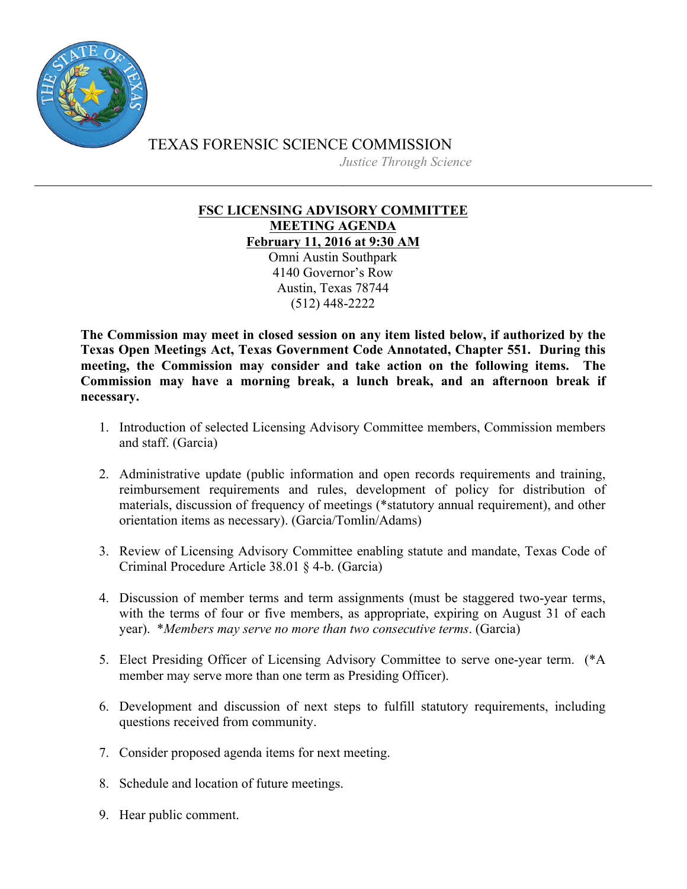

TEXAS FORENSIC SCIENCE COMMISSION *Justice Through Science*

## **FSC LICENSING ADVISORY COMMITTEE MEETING AGENDA February 11, 2016 at 9:30 AM**

Omni Austin Southpark 4140 Governor's Row Austin, Texas 78744 (512) 448-2222

**The Commission may meet in closed session on any item listed below, if authorized by the Texas Open Meetings Act, Texas Government Code Annotated, Chapter 551. During this meeting, the Commission may consider and take action on the following items. The Commission may have a morning break, a lunch break, and an afternoon break if necessary.**

- 1. Introduction of selected Licensing Advisory Committee members, Commission members and staff. (Garcia)
- 2. Administrative update (public information and open records requirements and training, reimbursement requirements and rules, development of policy for distribution of materials, discussion of frequency of meetings (\*statutory annual requirement), and other orientation items as necessary). (Garcia/Tomlin/Adams)
- 3. Review of Licensing Advisory Committee enabling statute and mandate, Texas Code of Criminal Procedure Article 38.01 § 4-b. (Garcia)
- 4. Discussion of member terms and term assignments (must be staggered two-year terms, with the terms of four or five members, as appropriate, expiring on August 31 of each year). \**Members may serve no more than two consecutive terms*. (Garcia)
- 5. Elect Presiding Officer of Licensing Advisory Committee to serve one-year term. (\*A member may serve more than one term as Presiding Officer).
- 6. Development and discussion of next steps to fulfill statutory requirements, including questions received from community.
- 7. Consider proposed agenda items for next meeting.
- 8. Schedule and location of future meetings.
- 9. Hear public comment.